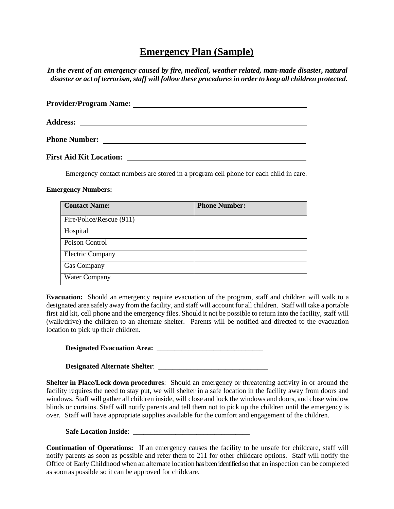## **Emergency Plan (Sample)**

*In the event of an emergency caused by fire, medical, weather related, man-made disaster, natural disaster or act of terrorism, staff will follow these proceduresin orderto keep all children protected.*

| <b>Provider/Program Name:</b>  |  |
|--------------------------------|--|
| <b>Address:</b>                |  |
| <b>Phone Number:</b>           |  |
| <b>First Aid Kit Location:</b> |  |

Emergency contact numbers are stored in a program cell phone for each child in care.

## **Emergency Numbers:**

| <b>Contact Name:</b>     | <b>Phone Number:</b> |
|--------------------------|----------------------|
| Fire/Police/Rescue (911) |                      |
| Hospital                 |                      |
| Poison Control           |                      |
| <b>Electric Company</b>  |                      |
| Gas Company              |                      |
| Water Company            |                      |

**Evacuation:** Should an emergency require evacuation of the program, staff and children will walk to a designated area safely away from the facility, and staff will account for all children. Staff will take a portable first aid kit, cell phone and the emergency files. Should it not be possible to return into the facility, staff will (walk/drive) the children to an alternate shelter. Parents will be notified and directed to the evacuation location to pick up their children.

**Designated Evacuation Area:** \_\_\_\_\_\_\_\_\_\_\_\_\_\_\_\_\_\_\_\_\_\_\_\_\_\_\_\_\_\_

**Designated Alternate Shelter**: \_\_\_\_\_\_\_\_\_\_\_\_\_\_\_\_\_\_\_\_\_\_\_\_\_\_\_\_\_\_\_

**Shelter in Place/Lock down procedures**: Should an emergency or threatening activity in or around the facility requires the need to stay put, we will shelter in a safe location in the facility away from doors and windows. Staff will gather all children inside, will close and lock the windows and doors, and close window blinds or curtains. Staff will notify parents and tell them not to pick up the children until the emergency is over. Staff will have appropriate supplies available for the comfort and engagement of the children.

**Safe Location Inside**: \_\_\_\_\_\_\_\_\_\_\_\_\_\_\_\_\_\_\_\_\_\_\_\_\_\_\_\_\_\_\_\_\_

**Continuation of Operations:** If an emergency causes the facility to be unsafe for childcare, staff will notify parents as soon as possible and refer them to 211 for other childcare options. Staff will notify the Office of Early Childhood when an alternate location has been identified so that an inspection can be completed assoon as possible so it can be approved for childcare.